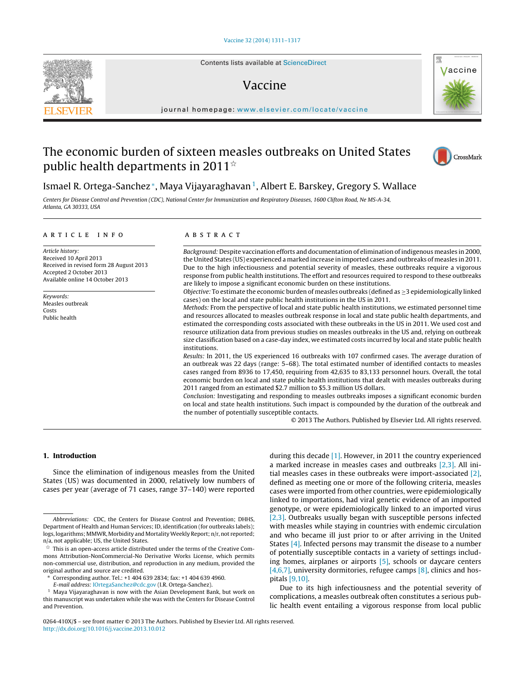Contents lists available at [ScienceDirect](http://www.sciencedirect.com/science/journal/0264410X)

# Vaccine



iournal homepage: [www.elsevier.com/locate/vaccine](http://www.elsevier.com/locate/vaccine)

## The economic burden of sixteen measles outbreaks on United States public health departments in 2011 $^{\star}$



### Ismael R. Ortega-Sanchez<sup>\*</sup>, Maya Vijayaraghavan<sup>1</sup>, Albert E. Barskey, Gregory S. Wallace

Centers for Disease Control and Prevention (CDC), National Center for Immunization and Respiratory Diseases, 1600 Clifton Road, Ne MS-A-34, Atlanta, GA 30333, USA

#### a r t i c l e i n f o

Article history: Received 10 April 2013 Received in revised form 28 August 2013 Accepted 2 October 2013 Available online 14 October 2013

Keywords: Measles outbreak Costs Public health

#### A B S T R A C T

Background: Despite vaccination efforts and documentation of elimination of indigenous measles in 2000, the United States (US) experienced a marked increase in imported cases and outbreaks of measles in 2011. Due to the high infectiousness and potential severity of measles, these outbreaks require a vigorous response from public health institutions. The effort and resources required to respond to these outbreaks are likely to impose a significant economic burden on these institutions.

Objective: To estimate the economic burden of measles outbreaks (defined as  $\geq$ 3 epidemiologically linked cases) on the local and state public health institutions in the US in 2011.

Methods: From the perspective of local and state public health institutions, we estimated personnel time and resources allocated to measles outbreak response in local and state public health departments, and estimated the corresponding costs associated with these outbreaks in the US in 2011. We used cost and resource utilization data from previous studies on measles outbreaks in the US and, relying on outbreak size classification based on a case-day index, we estimated costs incurred by local and state public health institutions.

Results: In 2011, the US experienced 16 outbreaks with 107 confirmed cases. The average duration of an outbreak was 22 days (range: 5–68). The total estimated number of identified contacts to measles cases ranged from 8936 to 17,450, requiring from 42,635 to 83,133 personnel hours. Overall, the total economic burden on local and state public health institutions that dealt with measles outbreaks during 2011 ranged from an estimated \$2.7 million to \$5.3 million US dollars.

Conclusion: Investigating and responding to measles outbreaks imposes a significant economic burden on local and state health institutions. Such impact is compounded by the duration of the outbreak and the number of potentially susceptible contacts.

© 2013 The Authors. Published by Elsevier Ltd. All rights reserved.

#### **1. Introduction**

Since the elimination of indigenous measles from the United States (US) was documented in 2000, relatively low numbers of cases per year (average of 71 cases, range 37–140) were reported

E-mail address: [IOrtegaSanchez@cdc.gov](mailto:IOrtegaSanchez@cdc.gov) (I.R. Ortega-Sanchez).

a marked increase in measles cases and outbreaks [\[2,3\].](#page-5-0) All initial measles cases in these outbreaks were import-associated [\[2\],](#page-5-0) defined as meeting one or more of the following criteria, measles cases were imported from other countries, were epidemiologically linked to importations, had viral genetic evidence of an imported genotype, or were epidemiologically linked to an imported virus [\[2,3\].](#page-5-0) Outbreaks usually began with susceptible persons infected with measles while staying in countries with endemic circulation and who became ill just prior to or after arriving in the United States [\[4\].](#page-5-0) Infected persons may transmit the disease to a number of potentially susceptible contacts in a variety of settings including homes, airplanes or airports [\[5\],](#page-5-0) schools or daycare centers [\[4,6,7\],](#page-5-0) university dormitories, refugee camps  $[8]$ , clinics and hospitals [\[9,10\].](#page-5-0)

during this decade [\[1\].](#page-5-0) However, in 2011 the country experienced

Due to its high infectiousness and the potential severity of complications, a measles outbreak often constitutes a serious public health event entailing a vigorous response from local public

0264-410X/\$ – see front matter © 2013 The Authors. Published by Elsevier Ltd. All rights reserved. [http://dx.doi.org/10.1016/j.vaccine.2013.10.012](dx.doi.org/10.1016/j.vaccine.2013.10.012)

Abbreviations: CDC, the Centers for Disease Control and Prevention; DHHS, Department of Health and Human Services; ID, identification (for outbreaks labels); logs, logarithms; MMWR, Morbidity and Mortality Weekly Report; n/r, not reported; n/a, not applicable; US, the United States.

 $\mathrm{\acute{e}t}$  This is an open-access article distributed under the terms of the Creative Commons Attribution-NonCommercial-No Derivative Works License, which permits non-commercial use, distribution, and reproduction in any medium, provided the original author and source are credited.

<sup>∗</sup> Corresponding author. Tel.: +1 404 639 2834; fax: +1 404 639 4960.

<sup>1</sup> Maya Vijayaraghavan is now with the Asian Development Bank, but work on this manuscript was undertaken while she was with the Centers for Disease Control and Prevention.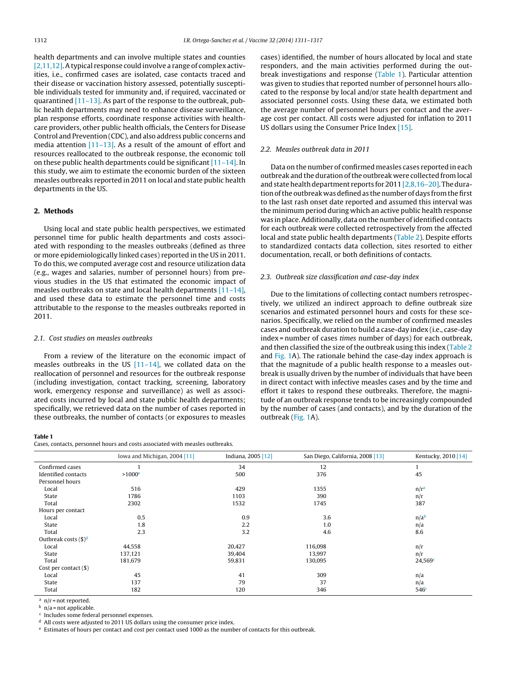<span id="page-1-0"></span>health departments and can involve multiple states and counties [2,11,12]. A typical response could involve a range of complex activities, i.e., confirmed cases are isolated, case contacts traced and their disease or vaccination history assessed, potentially susceptible individuals tested for immunity and, if required, vaccinated or quarantined  $[11-13]$ . As part of the response to the outbreak, public health departments may need to enhance disease surveillance, plan response efforts, coordinate response activities with healthcare providers, other public health officials, the Centers for Disease Control and Prevention (CDC), and also address public concerns and media attention [\[11–13\].](#page-5-0) As a result of the amount of effort and resources reallocated to the outbreak response, the economic toll on these public health departments could be significant [\[11–14\].](#page-5-0) In this study, we aim to estimate the economic burden of the sixteen measles outbreaks reported in 2011 on local and state public health departments in the US.

#### **2. Methods**

Using local and state public health perspectives, we estimated personnel time for public health departments and costs associated with responding to the measles outbreaks (defined as three or more epidemiologically linked cases) reported in the US in 2011. To do this, we computed average cost and resource utilization data (e.g., wages and salaries, number of personnel hours) from previous studies in the US that estimated the economic impact of measles outbreaks on state and local health departments [\[11–14\],](#page-5-0) and used these data to estimate the personnel time and costs attributable to the response to the measles outbreaks reported in 2011.

#### 2.1. Cost studies on measles outbreaks

From a review of the literature on the economic impact of measles outbreaks in the US [\[11–14\],](#page-5-0) we collated data on the reallocation of personnel and resources for the outbreak response (including investigation, contact tracking, screening, laboratory work, emergency response and surveillance) as well as associated costs incurred by local and state public health departments; specifically, we retrieved data on the number of cases reported in these outbreaks, the number of contacts (or exposures to measles

#### **Table 1**

Cases, contacts, personnel hours and costs associated with measles outbreaks.

cases) identified, the number of hours allocated by local and state responders, and the main activities performed during the outbreak investigations and response (Table 1). Particular attention was given to studies that reported number of personnel hours allocated to the response by local and/or state health department and associated personnel costs. Using these data, we estimated both the average number of personnel hours per contact and the average cost per contact. All costs were adjusted for inflation to 2011 US dollars using the Consumer Price Index [\[15\].](#page-5-0)

### 2.2. Measles outbreak data in 2011

Data on the number of confirmed measles cases reported in each outbreak and the duration of the outbreak were collected from local and state health department reports for 2011  $[2,8,16-20]$ . The duration of the outbreak was defined as the number of days from the first to the last rash onset date reported and assumed this interval was the minimum period during which an active public health response was in place. Additionally, data on the number of identified contacts for each outbreak were collected retrospectively from the affected local and state public health departments [\(Table](#page-2-0) 2). Despite efforts to standardized contacts data collection, sites resorted to either documentation, recall, or both definitions of contacts.

#### 2.3. Outbreak size classification and case-day index

Due to the limitations of collecting contact numbers retrospectively, we utilized an indirect approach to define outbreak size scenarios and estimated personnel hours and costs for these scenarios. Specifically, we relied on the number of confirmed measles cases and outbreak duration to build a case-day index (i.e., case-day index = number of cases times number of days) for each outbreak, and then classified the size of the outbreak using this index [\(Table](#page-2-0) 2 and [Fig.](#page-3-0) 1A). The rationale behind the case-day index approach is that the magnitude of a public health response to a measles outbreak is usually driven by the number of individuals that have been in direct contact with infective measles cases and by the time and effort it takes to respond these outbreaks. Therefore, the magnitude of an outbreak response tends to be increasingly compounded by the number of cases (and contacts), and by the duration of the outbreak ([Fig.](#page-3-0) 1A).

|                                  | Iowa and Michigan, 2004 [11] | Indiana, 2005 [12] | San Diego, California, 2008 [13] | Kentucky, 2010 [14] |
|----------------------------------|------------------------------|--------------------|----------------------------------|---------------------|
| Confirmed cases                  |                              | 34                 | 12                               |                     |
| Identified contacts              | $>1000$ <sup>e</sup>         | 500                | 376                              | 45                  |
| Personnel hours                  |                              |                    |                                  |                     |
| Local                            | 516                          | 429                | 1355                             | n/r <sup>a</sup>    |
| State                            | 1786                         | 1103               | 390                              | n/r                 |
| Total                            | 2302                         | 1532               | 1745                             | 387                 |
| Hours per contact                |                              |                    |                                  |                     |
| Local                            | 0.5                          | 0.9                | 3.6                              | n/a <sup>b</sup>    |
| State                            | 1.8                          | 2.2                | 1.0                              | n/a                 |
| Total                            | 2.3                          | 3.2                | 4.6                              | 8.6                 |
| Outbreak costs $(\frac{6}{9})^d$ |                              |                    |                                  |                     |
| Local                            | 44,558                       | 20,427             | 116,098                          | n/r                 |
| State                            | 137,121                      | 39,404             | 13,997                           | n/r                 |
| Total                            | 181,679                      | 59,831             | 130,095                          | 24,569c             |
| Cost per contact $(\$)$          |                              |                    |                                  |                     |
| Local                            | 45                           | 41                 | 309                              | n/a                 |
| State                            | 137                          | 79                 | 37                               | n/a                 |
| Total                            | 182                          | 120                | 346                              | 546 <sup>c</sup>    |

 $a$  n/r = not reported.

 $h$  n/a = not applicable.

<sup>c</sup> Includes some federal personnel expenses.

<sup>d</sup> All costs were adjusted to 2011 US dollars using the consumer price index.

<sup>e</sup> Estimates of hours per contact and cost per contact used 1000 as the number of contacts for this outbreak.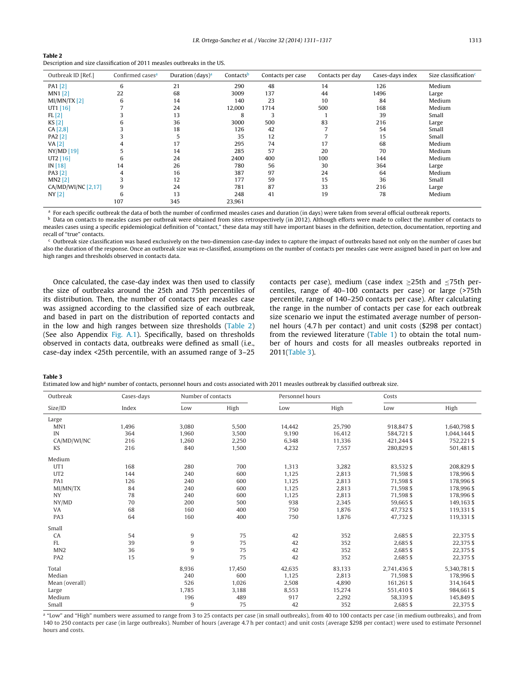#### <span id="page-2-0"></span>**Table 2**

Description and size classification of 2011 measles outbreaks in the US.

| Outbreak ID [Ref.] | Confirmed cases <sup>a</sup> | Duration (days) <sup>a</sup> | Contactsb | Contacts per case | Contacts per day | Cases-days index | Size classification <sup>c</sup> |
|--------------------|------------------------------|------------------------------|-----------|-------------------|------------------|------------------|----------------------------------|
| PA1 [2]            | 6                            | 21                           | 290       | 48                | 14               | 126              | Medium                           |
| $MN1$ [2]          | 22                           | 68                           | 3009      | 137               | 44               | 1496             | Large                            |
| MI/MN/TX [2]       | 6                            | 14                           | 140       | 23                | 10               | 84               | Medium                           |
| UT1 $[16]$         |                              | 24                           | 12,000    | 1714              | 500              | 168              | Medium                           |
| FL[2]              |                              | 13                           | 8         | 3                 |                  | 39               | Small                            |
| KS[2]              | 6                            | 36                           | 3000      | 500               | 83               | 216              | Large                            |
| CA [2,8]           |                              | 18                           | 126       | 42                | 7                | 54               | Small                            |
| PA2 [2]            |                              |                              | 35        | 12                |                  | 15               | Small                            |
| VA $[2]$           | 4                            | 17                           | 295       | 74                | 17               | 68               | Medium                           |
| NY/MD [19]         |                              | 14                           | 285       | 57                | 20               | 70               | Medium                           |
| UT2 $[16]$         | 6                            | 24                           | 2400      | 400               | 100              | 144              | Medium                           |
| IN[18]             | 14                           | 26                           | 780       | 56                | 30               | 364              | Large                            |
| PA3 [2]            | 4                            | 16                           | 387       | 97                | 24               | 64               | Medium                           |
| $MN2$ [2]          |                              | 12                           | 177       | 59                | 15               | 36               | Small                            |
| CA/MD/WI/NC [2,17] | 9                            | 24                           | 781       | 87                | 33               | 216              | Large                            |
| NY[2]              | 6                            | 13                           | 248       | 41                | 19               | 78               | Medium                           |
|                    | 107                          | 345                          | 23,961    |                   |                  |                  |                                  |

<sup>a</sup> For each specific outbreak the data of both the number of confirmed measles cases and duration (in days) were taken from several official outbreak reports.<br>A Data on contacts to measles cases net outbreak were obtaine

Data on contacts to measles cases per outbreak were obtained from sites retrospectively (in 2012). Although efforts were made to collect the number of contacts to measles cases using a specific epidemiological definition of "contact," these data may still have important biases in the definition, detection, documentation, reporting and recall of "true" contacts.

Outbreak size classification was based exclusively on the two-dimension case-day index to capture the impact of outbreaks based not only on the number of cases but also the duration of the response. Once an outbreak size was re-classified, assumptions on the number of contacts per measles case were assigned based in part on low and high ranges and thresholds observed in contacts data.

Once calculated, the case-day index was then used to classify the size of outbreaks around the 25th and 75th percentiles of its distribution. Then, the number of contacts per measles case was assigned according to the classified size of each outbreak, and based in part on the distribution of reported contacts and in the low and high ranges between size thresholds (Table 2) (See also Appendix Fig. [A.1\)](#page-5-0). Specifically, based on thresholds observed in contacts data, outbreaks were defined as small (i.e., case-day index <25th percentile, with an assumed range of 3–25 contacts per case), medium (case index  $\geq$ 25th and  $\leq$ 75th percentiles, range of 40–100 contacts per case) or large (>75th percentile, range of 140–250 contacts per case). After calculating the range in the number of contacts per case for each outbreak size scenario we input the estimated average number of personnel hours (4.7 h per contact) and unit costs (\$298 per contact) from the reviewed literature [\(Table](#page-1-0) 1) to obtain the total number of hours and costs for all measles outbreaks reported in 2011(Table 3).

**Table 3**

| Estimated low and high <sup>a</sup> number of contacts, personnel hours and costs associated with 2011 measles outbreak by classified outbreak size. |  |
|------------------------------------------------------------------------------------------------------------------------------------------------------|--|
|                                                                                                                                                      |  |

| Outbreak        | Cases-days | Number of contacts |        | Personnel hours |        | Costs        |              |
|-----------------|------------|--------------------|--------|-----------------|--------|--------------|--------------|
| Size/ID         | Index      | Low                | High   | Low             | High   | Low          | High         |
| Large           |            |                    |        |                 |        |              |              |
| MN1             | 1,496      | 3,080              | 5,500  | 14,442          | 25,790 | 918,847\$    | 1,640,798 \$ |
| IN              | 364        | 1,960              | 3,500  | 9,190           | 16,412 | 584.721\$    | 1,044,144 \$ |
| CA/MD/WI/NC     | 216        | 1,260              | 2,250  | 6,348           | 11,336 | 421,244 \$   | 752,221\$    |
| KS              | 216        | 840                | 1,500  | 4,232           | 7,557  | 280,829\$    | 501,481 \$   |
| Medium          |            |                    |        |                 |        |              |              |
| UT <sub>1</sub> | 168        | 280                | 700    | 1,313           | 3,282  | 83,532\$     | 208,829 \$   |
| UT <sub>2</sub> | 144        | 240                | 600    | 1,125           | 2,813  | 71,598\$     | 178,996\$    |
| PA1             | 126        | 240                | 600    | 1,125           | 2,813  | 71,598 \$    | 178,996\$    |
| MI/MN/TX        | 84         | 240                | 600    | 1,125           | 2,813  | 71,598\$     | 178,996\$    |
| <b>NY</b>       | 78         | 240                | 600    | 1,125           | 2,813  | 71,598\$     | 178,996\$    |
| NY/MD           | 70         | 200                | 500    | 938             | 2,345  | 59,665\$     | 149,163 \$   |
| VA              | 68         | 160                | 400    | 750             | 1.876  | 47.732\$     | 119,331\$    |
| PA3             | 64         | 160                | 400    | 750             | 1,876  | 47,732\$     | 119,331\$    |
| Small           |            |                    |        |                 |        |              |              |
| CA              | 54         | 9                  | 75     | 42              | 352    | 2,685\$      | 22,375 \$    |
| FL              | 39         | 9                  | 75     | 42              | 352    | 2,685\$      | 22,375 \$    |
| MN <sub>2</sub> | 36         | 9                  | 75     | 42              | 352    | 2,685\$      | 22,375 \$    |
| PA <sub>2</sub> | 15         | 9                  | 75     | 42              | 352    | 2,685\$      | 22,375 \$    |
| Total           |            | 8,936              | 17,450 | 42,635          | 83,133 | 2,741,436 \$ | 5,340,781 \$ |
| Median          |            | 240                | 600    | 1,125           | 2,813  | 71,598\$     | 178,996\$    |
| Mean (overall)  |            | 526                | 1,026  | 2,508           | 4,890  | 161,261 \$   | 314,164 \$   |
| Large           |            | 1,785              | 3,188  | 8,553           | 15,274 | 551,410\$    | 984,661 \$   |
| Medium          |            | 196                | 489    | 917             | 2,292  | 58,339\$     | 145,849 \$   |
| Small           |            | 9                  | 75     | 42              | 352    | 2,685\$      | 22,375 \$    |

a "Low" and "High" numbers were assumed to range from 3 to 25 contacts per case (in small outbreaks), from 40 to 100 contacts per case (in medium outbreaks), and from 140 to 250 contacts per case (in large outbreaks). Number of hours (average 4.7 h per contact) and unit costs (average \$298 per contact) were used to estimate Personnel hours and costs.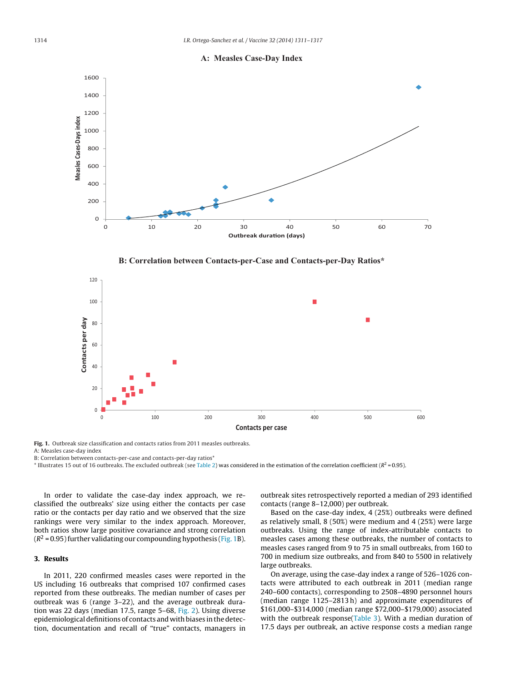

<span id="page-3-0"></span>

**B: Correlation between Contacts-per-Case and Contacts-per-Day Ratios\*** 



**Fig. 1.** Outbreak size classification and contacts ratios from 2011 measles outbreaks. A: Measles case-day index

B: Correlation between contacts-per-case and contacts-per-day ratios\*

 $*$  Illustrates 15 out of 16 outbreaks. The excluded outbreak (see [Table](#page-2-0) 2) was considered in the estimation of the correlation coefficient ( $R^2$  = 0.95).

In order to validate the case-day index approach, we reclassified the outbreaks' size using either the contacts per case ratio or the contacts per day ratio and we observed that the size rankings were very similar to the index approach. Moreover, both ratios show large positive covariance and strong correlation  $(R^2 = 0.95)$  further validating our compounding hypothesis (Fig. 1B).

#### **3. Results**

In 2011, 220 confirmed measles cases were reported in the US including 16 outbreaks that comprised 107 confirmed cases reported from these outbreaks. The median number of cases per outbreak was 6 (range 3–22), and the average outbreak duration was 22 days (median 17.5, range 5–68, [Fig.](#page-4-0) 2). Using diverse epidemiological definitions of contacts and with biases in the detection, documentation and recall of "true" contacts, managers in

outbreak sites retrospectively reported a median of 293 identified contacts (range 8–12,000) per outbreak.

Based on the case-day index, 4 (25%) outbreaks were defined as relatively small, 8 (50%) were medium and 4 (25%) were large outbreaks. Using the range of index-attributable contacts to measles cases among these outbreaks, the number of contacts to measles cases ranged from 9 to 75 in small outbreaks, from 160 to 700 in medium size outbreaks, and from 840 to 5500 in relatively large outbreaks.

On average, using the case-day index a range of 526–1026 contacts were attributed to each outbreak in 2011 (median range 240–600 contacts), corresponding to 2508–4890 personnel hours (median range 1125–2813 h) and approximate expenditures of \$161,000–\$314,000 (median range \$72,000–\$179,000) associated with the outbreak response[\(Table](#page-2-0) 3). With a median duration of 17.5 days per outbreak, an active response costs a median range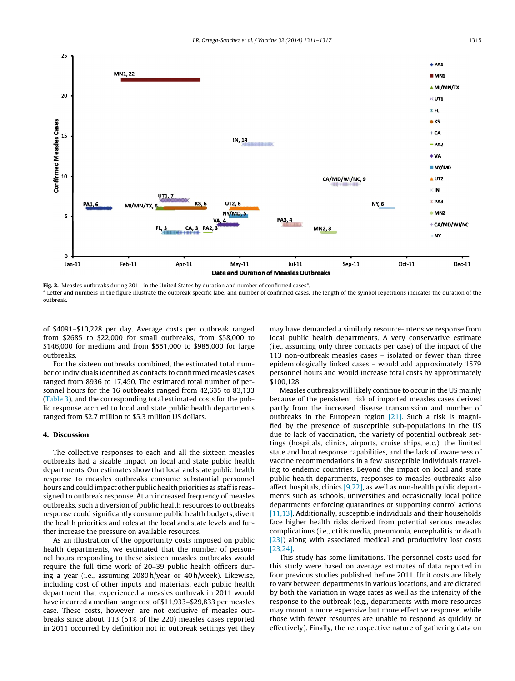<span id="page-4-0"></span>

**Fig. 2.** Measles outbreaks during 2011 in the United States by duration and number of confirmed cases\*. \* Letter and numbers in the figure illustrate the outbreak specific label and number of confirmed cases. The length of the symbol repetitions indicates the duration of the outbreak.

of \$4091–\$10,228 per day. Average costs per outbreak ranged from \$2685 to \$22,000 for small outbreaks, from \$58,000 to \$146,000 for medium and from \$551,000 to \$985,000 for large outbreaks.

For the sixteen outbreaks combined, the estimated total number of individuals identified as contacts to confirmed measles cases ranged from 8936 to 17,450. The estimated total number of personnel hours for the 16 outbreaks ranged from 42,635 to 83,133 ([Table](#page-2-0) 3), and the corresponding total estimated costs for the public response accrued to local and state public health departments ranged from \$2.7 million to \$5.3 million US dollars.

#### **4. Discussion**

The collective responses to each and all the sixteen measles outbreaks had a sizable impact on local and state public health departments. Our estimates show that local and state public health response to measles outbreaks consume substantial personnel hours and could impact other public health priorities as staffis reassigned to outbreak response. At an increased frequency of measles outbreaks, such a diversion of public health resources to outbreaks response could significantly consume public health budgets, divert the health priorities and roles at the local and state levels and further increase the pressure on available resources.

As an illustration of the opportunity costs imposed on public health departments, we estimated that the number of personnel hours responding to these sixteen measles outbreaks would require the full time work of 20–39 public health officers during a year (i.e., assuming 2080 h/year or 40 h/week). Likewise, including cost of other inputs and materials, each public health department that experienced a measles outbreak in 2011 would have incurred a median range cost of \$11,933–\$29,833 per measles case. These costs, however, are not exclusive of measles outbreaks since about 113 (51% of the 220) measles cases reported in 2011 occurred by definition not in outbreak settings yet they may have demanded a similarly resource-intensive response from local public health departments. A very conservative estimate (i.e., assuming only three contacts per case) of the impact of the 113 non-outbreak measles cases – isolated or fewer than three epidemiologically linked cases – would add approximately 1579 personnel hours and would increase total costs by approximately \$100,128.

Measles outbreaks will likely continue to occur in the US mainly because of the persistent risk of imported measles cases derived partly from the increased disease transmission and number of outbreaks in the European region [\[21\].](#page-6-0) Such a risk is magnified by the presence of susceptible sub-populations in the US due to lack of vaccination, the variety of potential outbreak settings (hospitals, clinics, airports, cruise ships, etc.), the limited state and local response capabilities, and the lack of awareness of vaccine recommendations in a few susceptible individuals traveling to endemic countries. Beyond the impact on local and state public health departments, responses to measles outbreaks also affect hospitals, clinics [\[9,22\],](#page-5-0) as well as non-health public departments such as schools, universities and occasionally local police departments enforcing quarantines or supporting control actions [\[11,13\].](#page-5-0) Additionally, susceptible individuals and their households face higher health risks derived from potential serious measles complications (i.e., otitis media, pneumonia, encephalitis or death [\[23\]\)](#page-6-0) along with associated medical and productivity lost costs [\[23,24\].](#page-6-0)

This study has some limitations. The personnel costs used for this study were based on average estimates of data reported in four previous studies published before 2011. Unit costs are likely to vary between departments in various locations, and are dictated by both the variation in wage rates as well as the intensity of the response to the outbreak (e.g., departments with more resources may mount a more expensive but more effective response, while those with fewer resources are unable to respond as quickly or effectively). Finally, the retrospective nature of gathering data on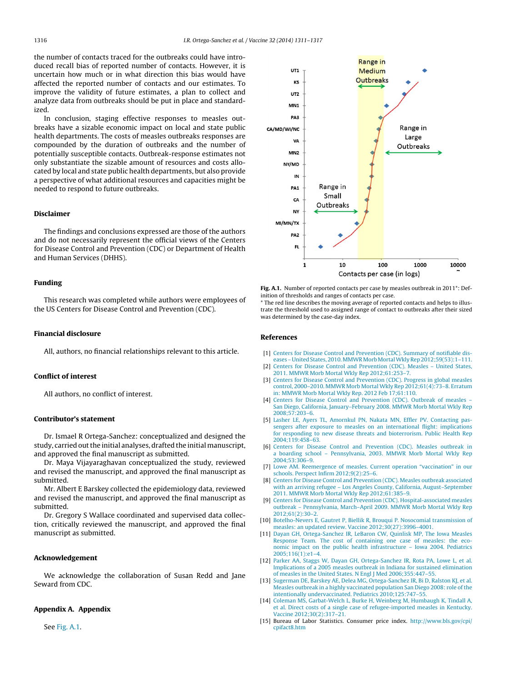<span id="page-5-0"></span>the number of contacts traced for the outbreaks could have introduced recall bias of reported number of contacts. However, it is uncertain how much or in what direction this bias would have affected the reported number of contacts and our estimates. To improve the validity of future estimates, a plan to collect and analyze data from outbreaks should be put in place and standardized.

In conclusion, staging effective responses to measles outbreaks have a sizable economic impact on local and state public health departments. The costs of measles outbreaks responses are compounded by the duration of outbreaks and the number of potentially susceptible contacts. Outbreak-response estimates not only substantiate the sizable amount of resources and costs allocated by local and state public health departments, but also provide a perspective of what additional resources and capacities might be needed to respond to future outbreaks.

#### **Disclaimer**

The findings and conclusions expressed are those of the authors and do not necessarily represent the official views of the Centers for Disease Control and Prevention (CDC) or Department of Health and Human Services (DHHS).

#### **Funding**

This research was completed while authors were employees of the US Centers for Disease Control and Prevention (CDC).

#### **Financial disclosure**

All, authors, no financial relationships relevant to this article.

### **Conflict of interest**

All authors, no conflict of interest.

#### **Contributor's statement**

Dr. Ismael R Ortega-Sanchez: conceptualized and designed the study, carried out the initial analyses, drafted the initial manuscript, and approved the final manuscript as submitted.

Dr. Maya Vijayaraghavan conceptualized the study, reviewed and revised the manuscript, and approved the final manuscript as submitted.

Mr. Albert E Barskey collected the epidemiology data, reviewed and revised the manuscript, and approved the final manuscript as submitted.

Dr. Gregory S Wallace coordinated and supervised data collection, critically reviewed the manuscript, and approved the final manuscript as submitted.

#### **Acknowledgement**

We acknowledge the collaboration of Susan Redd and Jane Seward from CDC.

#### **Appendix A. Appendix**

See Fig. A.1.



**Fig. A.1.** Number of reported contacts per case by measles outbreak in 2011\*: Definition of thresholds and ranges of contacts per case.

\* The red line describes the moving average of reported contacts and helps to illustrate the threshold used to assigned range of contact to outbreaks after their sized was determined by the case-day index.

#### **References**

- [1] [Centers](http://refhub.elsevier.com/S0264-410X(13)01364-9/sbref0005) [for](http://refhub.elsevier.com/S0264-410X(13)01364-9/sbref0005) [Disease](http://refhub.elsevier.com/S0264-410X(13)01364-9/sbref0005) [Control](http://refhub.elsevier.com/S0264-410X(13)01364-9/sbref0005) [and](http://refhub.elsevier.com/S0264-410X(13)01364-9/sbref0005) [Prevention](http://refhub.elsevier.com/S0264-410X(13)01364-9/sbref0005) [\(CDC\).](http://refhub.elsevier.com/S0264-410X(13)01364-9/sbref0005) [Summary](http://refhub.elsevier.com/S0264-410X(13)01364-9/sbref0005) [of](http://refhub.elsevier.com/S0264-410X(13)01364-9/sbref0005) [notifiable](http://refhub.elsevier.com/S0264-410X(13)01364-9/sbref0005) [dis](http://refhub.elsevier.com/S0264-410X(13)01364-9/sbref0005)[eases](http://refhub.elsevier.com/S0264-410X(13)01364-9/sbref0005) - United States, 2010. MMWR Morb Mortal Wkly Rep 2012;59(53): 1-[111.](http://refhub.elsevier.com/S0264-410X(13)01364-9/sbref0005) [2] [Centers](http://refhub.elsevier.com/S0264-410X(13)01364-9/sbref0010) [for](http://refhub.elsevier.com/S0264-410X(13)01364-9/sbref0010) [Disease](http://refhub.elsevier.com/S0264-410X(13)01364-9/sbref0010) [Control](http://refhub.elsevier.com/S0264-410X(13)01364-9/sbref0010) [and](http://refhub.elsevier.com/S0264-410X(13)01364-9/sbref0010) [Prevention](http://refhub.elsevier.com/S0264-410X(13)01364-9/sbref0010) [\(CDC\).](http://refhub.elsevier.com/S0264-410X(13)01364-9/sbref0010) [Measles](http://refhub.elsevier.com/S0264-410X(13)01364-9/sbref0010) – [United](http://refhub.elsevier.com/S0264-410X(13)01364-9/sbref0010) [States,](http://refhub.elsevier.com/S0264-410X(13)01364-9/sbref0010)
- [2011.](http://refhub.elsevier.com/S0264-410X(13)01364-9/sbref0010) [MMWR](http://refhub.elsevier.com/S0264-410X(13)01364-9/sbref0010) [Morb](http://refhub.elsevier.com/S0264-410X(13)01364-9/sbref0010) [Mortal](http://refhub.elsevier.com/S0264-410X(13)01364-9/sbref0010) [Wkly](http://refhub.elsevier.com/S0264-410X(13)01364-9/sbref0010) [Rep](http://refhub.elsevier.com/S0264-410X(13)01364-9/sbref0010) [2012;61:253](http://refhub.elsevier.com/S0264-410X(13)01364-9/sbref0010)–[7.](http://refhub.elsevier.com/S0264-410X(13)01364-9/sbref0010)
- [3] [Centers](http://refhub.elsevier.com/S0264-410X(13)01364-9/sbref0015) [for](http://refhub.elsevier.com/S0264-410X(13)01364-9/sbref0015) [Disease](http://refhub.elsevier.com/S0264-410X(13)01364-9/sbref0015) [Control](http://refhub.elsevier.com/S0264-410X(13)01364-9/sbref0015) [and](http://refhub.elsevier.com/S0264-410X(13)01364-9/sbref0015) [Prevention](http://refhub.elsevier.com/S0264-410X(13)01364-9/sbref0015) [\(CDC\).](http://refhub.elsevier.com/S0264-410X(13)01364-9/sbref0015) [Progress](http://refhub.elsevier.com/S0264-410X(13)01364-9/sbref0015) [in](http://refhub.elsevier.com/S0264-410X(13)01364-9/sbref0015) [global](http://refhub.elsevier.com/S0264-410X(13)01364-9/sbref0015) [measles](http://refhub.elsevier.com/S0264-410X(13)01364-9/sbref0015) [control,](http://refhub.elsevier.com/S0264-410X(13)01364-9/sbref0015) [2000–2010.](http://refhub.elsevier.com/S0264-410X(13)01364-9/sbref0015) [MMWR](http://refhub.elsevier.com/S0264-410X(13)01364-9/sbref0015) [Morb](http://refhub.elsevier.com/S0264-410X(13)01364-9/sbref0015) [Mortal](http://refhub.elsevier.com/S0264-410X(13)01364-9/sbref0015) [Wkly](http://refhub.elsevier.com/S0264-410X(13)01364-9/sbref0015) [Rep](http://refhub.elsevier.com/S0264-410X(13)01364-9/sbref0015) [2012;61\(4\):73–8.](http://refhub.elsevier.com/S0264-410X(13)01364-9/sbref0015) [Erratum](http://refhub.elsevier.com/S0264-410X(13)01364-9/sbref0015) [in:](http://refhub.elsevier.com/S0264-410X(13)01364-9/sbref0015) [MMWR](http://refhub.elsevier.com/S0264-410X(13)01364-9/sbref0015) [Morb](http://refhub.elsevier.com/S0264-410X(13)01364-9/sbref0015) [Mortal](http://refhub.elsevier.com/S0264-410X(13)01364-9/sbref0015) [Wkly](http://refhub.elsevier.com/S0264-410X(13)01364-9/sbref0015) [Rep.](http://refhub.elsevier.com/S0264-410X(13)01364-9/sbref0015) [2012](http://refhub.elsevier.com/S0264-410X(13)01364-9/sbref0015) [Feb](http://refhub.elsevier.com/S0264-410X(13)01364-9/sbref0015) [17;61:110.](http://refhub.elsevier.com/S0264-410X(13)01364-9/sbref0015)
- [4] [Centers](http://refhub.elsevier.com/S0264-410X(13)01364-9/sbref0020) [for](http://refhub.elsevier.com/S0264-410X(13)01364-9/sbref0020) [Disease](http://refhub.elsevier.com/S0264-410X(13)01364-9/sbref0020) [Control](http://refhub.elsevier.com/S0264-410X(13)01364-9/sbref0020) [and](http://refhub.elsevier.com/S0264-410X(13)01364-9/sbref0020) [Prevention](http://refhub.elsevier.com/S0264-410X(13)01364-9/sbref0020) [\(CDC\).](http://refhub.elsevier.com/S0264-410X(13)01364-9/sbref0020) [Outbreak](http://refhub.elsevier.com/S0264-410X(13)01364-9/sbref0020) [of](http://refhub.elsevier.com/S0264-410X(13)01364-9/sbref0020) [measles](http://refhub.elsevier.com/S0264-410X(13)01364-9/sbref0020) [–](http://refhub.elsevier.com/S0264-410X(13)01364-9/sbref0020) [San](http://refhub.elsevier.com/S0264-410X(13)01364-9/sbref0020) [Diego,](http://refhub.elsevier.com/S0264-410X(13)01364-9/sbref0020) [California,](http://refhub.elsevier.com/S0264-410X(13)01364-9/sbref0020) [January–February](http://refhub.elsevier.com/S0264-410X(13)01364-9/sbref0020) [2008.](http://refhub.elsevier.com/S0264-410X(13)01364-9/sbref0020) [MMWR](http://refhub.elsevier.com/S0264-410X(13)01364-9/sbref0020) [Morb](http://refhub.elsevier.com/S0264-410X(13)01364-9/sbref0020) [Mortal](http://refhub.elsevier.com/S0264-410X(13)01364-9/sbref0020) [Wkly](http://refhub.elsevier.com/S0264-410X(13)01364-9/sbref0020) [Rep](http://refhub.elsevier.com/S0264-410X(13)01364-9/sbref0020) [2008;57:203–6.](http://refhub.elsevier.com/S0264-410X(13)01364-9/sbref0020)
- [5] [Lasher](http://refhub.elsevier.com/S0264-410X(13)01364-9/sbref0025) [LE,](http://refhub.elsevier.com/S0264-410X(13)01364-9/sbref0025) [Ayers](http://refhub.elsevier.com/S0264-410X(13)01364-9/sbref0025) [TL,](http://refhub.elsevier.com/S0264-410X(13)01364-9/sbref0025) [Amornkul](http://refhub.elsevier.com/S0264-410X(13)01364-9/sbref0025) [PN,](http://refhub.elsevier.com/S0264-410X(13)01364-9/sbref0025) [Nakata](http://refhub.elsevier.com/S0264-410X(13)01364-9/sbref0025) [MN,](http://refhub.elsevier.com/S0264-410X(13)01364-9/sbref0025) [Effler](http://refhub.elsevier.com/S0264-410X(13)01364-9/sbref0025) [PV.](http://refhub.elsevier.com/S0264-410X(13)01364-9/sbref0025) [Contacting](http://refhub.elsevier.com/S0264-410X(13)01364-9/sbref0025) [pas](http://refhub.elsevier.com/S0264-410X(13)01364-9/sbref0025)[sengers](http://refhub.elsevier.com/S0264-410X(13)01364-9/sbref0025) [after](http://refhub.elsevier.com/S0264-410X(13)01364-9/sbref0025) [exposure](http://refhub.elsevier.com/S0264-410X(13)01364-9/sbref0025) [to](http://refhub.elsevier.com/S0264-410X(13)01364-9/sbref0025) [measles](http://refhub.elsevier.com/S0264-410X(13)01364-9/sbref0025) [on](http://refhub.elsevier.com/S0264-410X(13)01364-9/sbref0025) [an](http://refhub.elsevier.com/S0264-410X(13)01364-9/sbref0025) [international](http://refhub.elsevier.com/S0264-410X(13)01364-9/sbref0025) [flight:](http://refhub.elsevier.com/S0264-410X(13)01364-9/sbref0025) [implications](http://refhub.elsevier.com/S0264-410X(13)01364-9/sbref0025) [for](http://refhub.elsevier.com/S0264-410X(13)01364-9/sbref0025) [responding](http://refhub.elsevier.com/S0264-410X(13)01364-9/sbref0025) [to](http://refhub.elsevier.com/S0264-410X(13)01364-9/sbref0025) [new](http://refhub.elsevier.com/S0264-410X(13)01364-9/sbref0025) [disease](http://refhub.elsevier.com/S0264-410X(13)01364-9/sbref0025) [threats](http://refhub.elsevier.com/S0264-410X(13)01364-9/sbref0025) [and](http://refhub.elsevier.com/S0264-410X(13)01364-9/sbref0025) [bioterrorism.](http://refhub.elsevier.com/S0264-410X(13)01364-9/sbref0025) [Public](http://refhub.elsevier.com/S0264-410X(13)01364-9/sbref0025) [Health](http://refhub.elsevier.com/S0264-410X(13)01364-9/sbref0025) [Rep](http://refhub.elsevier.com/S0264-410X(13)01364-9/sbref0025) [2004;119:458–63.](http://refhub.elsevier.com/S0264-410X(13)01364-9/sbref0025)
- [6] [Centers](http://refhub.elsevier.com/S0264-410X(13)01364-9/sbref0030) [for](http://refhub.elsevier.com/S0264-410X(13)01364-9/sbref0030) [Disease](http://refhub.elsevier.com/S0264-410X(13)01364-9/sbref0030) [Control](http://refhub.elsevier.com/S0264-410X(13)01364-9/sbref0030) [and](http://refhub.elsevier.com/S0264-410X(13)01364-9/sbref0030) [Prevention](http://refhub.elsevier.com/S0264-410X(13)01364-9/sbref0030) [\(CDC\).](http://refhub.elsevier.com/S0264-410X(13)01364-9/sbref0030) [Measles](http://refhub.elsevier.com/S0264-410X(13)01364-9/sbref0030) [outbreak](http://refhub.elsevier.com/S0264-410X(13)01364-9/sbref0030) [in](http://refhub.elsevier.com/S0264-410X(13)01364-9/sbref0030) [a](http://refhub.elsevier.com/S0264-410X(13)01364-9/sbref0030) [boarding](http://refhub.elsevier.com/S0264-410X(13)01364-9/sbref0030) [school](http://refhub.elsevier.com/S0264-410X(13)01364-9/sbref0030) [–](http://refhub.elsevier.com/S0264-410X(13)01364-9/sbref0030) [Pennsylvania,](http://refhub.elsevier.com/S0264-410X(13)01364-9/sbref0030) [2003.](http://refhub.elsevier.com/S0264-410X(13)01364-9/sbref0030) [MMWR](http://refhub.elsevier.com/S0264-410X(13)01364-9/sbref0030) [Morb](http://refhub.elsevier.com/S0264-410X(13)01364-9/sbref0030) [Mortal](http://refhub.elsevier.com/S0264-410X(13)01364-9/sbref0030) [Wkly](http://refhub.elsevier.com/S0264-410X(13)01364-9/sbref0030) [Rep](http://refhub.elsevier.com/S0264-410X(13)01364-9/sbref0030) [2004;53:306–9.](http://refhub.elsevier.com/S0264-410X(13)01364-9/sbref0030)
- [7] [Lowe](http://refhub.elsevier.com/S0264-410X(13)01364-9/sbref0035) [AM.](http://refhub.elsevier.com/S0264-410X(13)01364-9/sbref0035) [Reemergence](http://refhub.elsevier.com/S0264-410X(13)01364-9/sbref0035) [of](http://refhub.elsevier.com/S0264-410X(13)01364-9/sbref0035) [measles.](http://refhub.elsevier.com/S0264-410X(13)01364-9/sbref0035) [Current](http://refhub.elsevier.com/S0264-410X(13)01364-9/sbref0035) [operation](http://refhub.elsevier.com/S0264-410X(13)01364-9/sbref0035) ["vaccination"](http://refhub.elsevier.com/S0264-410X(13)01364-9/sbref0035) [in](http://refhub.elsevier.com/S0264-410X(13)01364-9/sbref0035) [our](http://refhub.elsevier.com/S0264-410X(13)01364-9/sbref0035) [schools.](http://refhub.elsevier.com/S0264-410X(13)01364-9/sbref0035) [Perspect](http://refhub.elsevier.com/S0264-410X(13)01364-9/sbref0035) [Infirm](http://refhub.elsevier.com/S0264-410X(13)01364-9/sbref0035) [2012;9\(2\):25–6.](http://refhub.elsevier.com/S0264-410X(13)01364-9/sbref0035)
- [8] [Centers](http://refhub.elsevier.com/S0264-410X(13)01364-9/sbref0040) [for](http://refhub.elsevier.com/S0264-410X(13)01364-9/sbref0040) [Disease](http://refhub.elsevier.com/S0264-410X(13)01364-9/sbref0040) [Control](http://refhub.elsevier.com/S0264-410X(13)01364-9/sbref0040) [and](http://refhub.elsevier.com/S0264-410X(13)01364-9/sbref0040) [Prevention](http://refhub.elsevier.com/S0264-410X(13)01364-9/sbref0040) [\(CDC\).](http://refhub.elsevier.com/S0264-410X(13)01364-9/sbref0040) [Measles](http://refhub.elsevier.com/S0264-410X(13)01364-9/sbref0040) [outbreak](http://refhub.elsevier.com/S0264-410X(13)01364-9/sbref0040) [associated](http://refhub.elsevier.com/S0264-410X(13)01364-9/sbref0040) [with](http://refhub.elsevier.com/S0264-410X(13)01364-9/sbref0040) [an](http://refhub.elsevier.com/S0264-410X(13)01364-9/sbref0040) [arriving](http://refhub.elsevier.com/S0264-410X(13)01364-9/sbref0040) [refugee](http://refhub.elsevier.com/S0264-410X(13)01364-9/sbref0040) – [Los](http://refhub.elsevier.com/S0264-410X(13)01364-9/sbref0040) [Angeles](http://refhub.elsevier.com/S0264-410X(13)01364-9/sbref0040) [County,](http://refhub.elsevier.com/S0264-410X(13)01364-9/sbref0040) [California,](http://refhub.elsevier.com/S0264-410X(13)01364-9/sbref0040) [August](http://refhub.elsevier.com/S0264-410X(13)01364-9/sbref0040)–[September](http://refhub.elsevier.com/S0264-410X(13)01364-9/sbref0040) [2011.](http://refhub.elsevier.com/S0264-410X(13)01364-9/sbref0040) [MMWR](http://refhub.elsevier.com/S0264-410X(13)01364-9/sbref0040) [Morb](http://refhub.elsevier.com/S0264-410X(13)01364-9/sbref0040) [Mortal](http://refhub.elsevier.com/S0264-410X(13)01364-9/sbref0040) [Wkly](http://refhub.elsevier.com/S0264-410X(13)01364-9/sbref0040) [Rep](http://refhub.elsevier.com/S0264-410X(13)01364-9/sbref0040) [2012;61:385](http://refhub.elsevier.com/S0264-410X(13)01364-9/sbref0040)–[9.](http://refhub.elsevier.com/S0264-410X(13)01364-9/sbref0040)
- [9] [Centers](http://refhub.elsevier.com/S0264-410X(13)01364-9/sbref0045) [for](http://refhub.elsevier.com/S0264-410X(13)01364-9/sbref0045) [Disease](http://refhub.elsevier.com/S0264-410X(13)01364-9/sbref0045) [Control](http://refhub.elsevier.com/S0264-410X(13)01364-9/sbref0045) [and](http://refhub.elsevier.com/S0264-410X(13)01364-9/sbref0045) [Prevention](http://refhub.elsevier.com/S0264-410X(13)01364-9/sbref0045) [\(CDC\).](http://refhub.elsevier.com/S0264-410X(13)01364-9/sbref0045) [Hospital-associated](http://refhub.elsevier.com/S0264-410X(13)01364-9/sbref0045) [measles](http://refhub.elsevier.com/S0264-410X(13)01364-9/sbref0045) [outbreak](http://refhub.elsevier.com/S0264-410X(13)01364-9/sbref0045) – [Pennsylvania,](http://refhub.elsevier.com/S0264-410X(13)01364-9/sbref0045) [March–April](http://refhub.elsevier.com/S0264-410X(13)01364-9/sbref0045) [2009.](http://refhub.elsevier.com/S0264-410X(13)01364-9/sbref0045) [MMWR](http://refhub.elsevier.com/S0264-410X(13)01364-9/sbref0045) [Morb](http://refhub.elsevier.com/S0264-410X(13)01364-9/sbref0045) [Mortal](http://refhub.elsevier.com/S0264-410X(13)01364-9/sbref0045) [Wkly](http://refhub.elsevier.com/S0264-410X(13)01364-9/sbref0045) [Rep](http://refhub.elsevier.com/S0264-410X(13)01364-9/sbref0045) [2012;61\(2\):30](http://refhub.elsevier.com/S0264-410X(13)01364-9/sbref0045)–[2.](http://refhub.elsevier.com/S0264-410X(13)01364-9/sbref0045)
- [10] [Botelho-Nevers](http://refhub.elsevier.com/S0264-410X(13)01364-9/sbref0050) [E,](http://refhub.elsevier.com/S0264-410X(13)01364-9/sbref0050) [Gautret](http://refhub.elsevier.com/S0264-410X(13)01364-9/sbref0050) [P,](http://refhub.elsevier.com/S0264-410X(13)01364-9/sbref0050) [Biellik](http://refhub.elsevier.com/S0264-410X(13)01364-9/sbref0050) [R,](http://refhub.elsevier.com/S0264-410X(13)01364-9/sbref0050) [Brouqui](http://refhub.elsevier.com/S0264-410X(13)01364-9/sbref0050) [P.](http://refhub.elsevier.com/S0264-410X(13)01364-9/sbref0050) [Nosocomial](http://refhub.elsevier.com/S0264-410X(13)01364-9/sbref0050) [transmission](http://refhub.elsevier.com/S0264-410X(13)01364-9/sbref0050) [of](http://refhub.elsevier.com/S0264-410X(13)01364-9/sbref0050) [measles:](http://refhub.elsevier.com/S0264-410X(13)01364-9/sbref0050) [an](http://refhub.elsevier.com/S0264-410X(13)01364-9/sbref0050) [updated](http://refhub.elsevier.com/S0264-410X(13)01364-9/sbref0050) [review.](http://refhub.elsevier.com/S0264-410X(13)01364-9/sbref0050) [Vaccine](http://refhub.elsevier.com/S0264-410X(13)01364-9/sbref0050) [2012;30\(27\):3996](http://refhub.elsevier.com/S0264-410X(13)01364-9/sbref0050)–[4001.](http://refhub.elsevier.com/S0264-410X(13)01364-9/sbref0050)
- [11] [Dayan](http://refhub.elsevier.com/S0264-410X(13)01364-9/sbref0055) [GH,](http://refhub.elsevier.com/S0264-410X(13)01364-9/sbref0055) [Ortega-Sanchez](http://refhub.elsevier.com/S0264-410X(13)01364-9/sbref0055) [IR,](http://refhub.elsevier.com/S0264-410X(13)01364-9/sbref0055) [LeBaron](http://refhub.elsevier.com/S0264-410X(13)01364-9/sbref0055) [CW,](http://refhub.elsevier.com/S0264-410X(13)01364-9/sbref0055) [Quinlisk](http://refhub.elsevier.com/S0264-410X(13)01364-9/sbref0055) [MP,](http://refhub.elsevier.com/S0264-410X(13)01364-9/sbref0055) [The](http://refhub.elsevier.com/S0264-410X(13)01364-9/sbref0055) [Iowa](http://refhub.elsevier.com/S0264-410X(13)01364-9/sbref0055) [Measles](http://refhub.elsevier.com/S0264-410X(13)01364-9/sbref0055) [Response](http://refhub.elsevier.com/S0264-410X(13)01364-9/sbref0055) [Team.](http://refhub.elsevier.com/S0264-410X(13)01364-9/sbref0055) [The](http://refhub.elsevier.com/S0264-410X(13)01364-9/sbref0055) [cost](http://refhub.elsevier.com/S0264-410X(13)01364-9/sbref0055) [of](http://refhub.elsevier.com/S0264-410X(13)01364-9/sbref0055) [containing](http://refhub.elsevier.com/S0264-410X(13)01364-9/sbref0055) [one](http://refhub.elsevier.com/S0264-410X(13)01364-9/sbref0055) [case](http://refhub.elsevier.com/S0264-410X(13)01364-9/sbref0055) [of](http://refhub.elsevier.com/S0264-410X(13)01364-9/sbref0055) [measles:](http://refhub.elsevier.com/S0264-410X(13)01364-9/sbref0055) [the](http://refhub.elsevier.com/S0264-410X(13)01364-9/sbref0055) [eco](http://refhub.elsevier.com/S0264-410X(13)01364-9/sbref0055)[nomic](http://refhub.elsevier.com/S0264-410X(13)01364-9/sbref0055) [impact](http://refhub.elsevier.com/S0264-410X(13)01364-9/sbref0055) [on](http://refhub.elsevier.com/S0264-410X(13)01364-9/sbref0055) [the](http://refhub.elsevier.com/S0264-410X(13)01364-9/sbref0055) [public](http://refhub.elsevier.com/S0264-410X(13)01364-9/sbref0055) [health](http://refhub.elsevier.com/S0264-410X(13)01364-9/sbref0055) [infrastructure](http://refhub.elsevier.com/S0264-410X(13)01364-9/sbref0055) – [Iowa](http://refhub.elsevier.com/S0264-410X(13)01364-9/sbref0055) [2004.](http://refhub.elsevier.com/S0264-410X(13)01364-9/sbref0055) [Pediatrics](http://refhub.elsevier.com/S0264-410X(13)01364-9/sbref0055) [2005;116\(1\):e1](http://refhub.elsevier.com/S0264-410X(13)01364-9/sbref0055)–[4.](http://refhub.elsevier.com/S0264-410X(13)01364-9/sbref0055)
- [12] [Parker](http://refhub.elsevier.com/S0264-410X(13)01364-9/sbref0060) [AA,](http://refhub.elsevier.com/S0264-410X(13)01364-9/sbref0060) [Staggs](http://refhub.elsevier.com/S0264-410X(13)01364-9/sbref0060) [W,](http://refhub.elsevier.com/S0264-410X(13)01364-9/sbref0060) [Dayan](http://refhub.elsevier.com/S0264-410X(13)01364-9/sbref0060) [GH,](http://refhub.elsevier.com/S0264-410X(13)01364-9/sbref0060) [Ortega-Sanchez](http://refhub.elsevier.com/S0264-410X(13)01364-9/sbref0060) [IR,](http://refhub.elsevier.com/S0264-410X(13)01364-9/sbref0060) [Rota](http://refhub.elsevier.com/S0264-410X(13)01364-9/sbref0060) [PA,](http://refhub.elsevier.com/S0264-410X(13)01364-9/sbref0060) [Lowe](http://refhub.elsevier.com/S0264-410X(13)01364-9/sbref0060) [L,](http://refhub.elsevier.com/S0264-410X(13)01364-9/sbref0060) [et](http://refhub.elsevier.com/S0264-410X(13)01364-9/sbref0060) [al.](http://refhub.elsevier.com/S0264-410X(13)01364-9/sbref0060) [Implications](http://refhub.elsevier.com/S0264-410X(13)01364-9/sbref0060) [of](http://refhub.elsevier.com/S0264-410X(13)01364-9/sbref0060) [a](http://refhub.elsevier.com/S0264-410X(13)01364-9/sbref0060) [2005](http://refhub.elsevier.com/S0264-410X(13)01364-9/sbref0060) [measles](http://refhub.elsevier.com/S0264-410X(13)01364-9/sbref0060) [outbreak](http://refhub.elsevier.com/S0264-410X(13)01364-9/sbref0060) [in](http://refhub.elsevier.com/S0264-410X(13)01364-9/sbref0060) [Indiana](http://refhub.elsevier.com/S0264-410X(13)01364-9/sbref0060) [for](http://refhub.elsevier.com/S0264-410X(13)01364-9/sbref0060) [sustained](http://refhub.elsevier.com/S0264-410X(13)01364-9/sbref0060) [elimination](http://refhub.elsevier.com/S0264-410X(13)01364-9/sbref0060) [of](http://refhub.elsevier.com/S0264-410X(13)01364-9/sbref0060) [measles](http://refhub.elsevier.com/S0264-410X(13)01364-9/sbref0060) [in](http://refhub.elsevier.com/S0264-410X(13)01364-9/sbref0060) [the](http://refhub.elsevier.com/S0264-410X(13)01364-9/sbref0060) [United](http://refhub.elsevier.com/S0264-410X(13)01364-9/sbref0060) [States.](http://refhub.elsevier.com/S0264-410X(13)01364-9/sbref0060) [N](http://refhub.elsevier.com/S0264-410X(13)01364-9/sbref0060) [Engl](http://refhub.elsevier.com/S0264-410X(13)01364-9/sbref0060) [J](http://refhub.elsevier.com/S0264-410X(13)01364-9/sbref0060) [Med](http://refhub.elsevier.com/S0264-410X(13)01364-9/sbref0060) [2006;355:447–55.](http://refhub.elsevier.com/S0264-410X(13)01364-9/sbref0060)
- [13] [Sugerman](http://refhub.elsevier.com/S0264-410X(13)01364-9/sbref0065) [DE,](http://refhub.elsevier.com/S0264-410X(13)01364-9/sbref0065) [Barskey](http://refhub.elsevier.com/S0264-410X(13)01364-9/sbref0065) [AE,](http://refhub.elsevier.com/S0264-410X(13)01364-9/sbref0065) [Delea](http://refhub.elsevier.com/S0264-410X(13)01364-9/sbref0065) [MG,](http://refhub.elsevier.com/S0264-410X(13)01364-9/sbref0065) [Ortega-Sanchez](http://refhub.elsevier.com/S0264-410X(13)01364-9/sbref0065) [IR,](http://refhub.elsevier.com/S0264-410X(13)01364-9/sbref0065) [Bi](http://refhub.elsevier.com/S0264-410X(13)01364-9/sbref0065) [D,](http://refhub.elsevier.com/S0264-410X(13)01364-9/sbref0065) [Ralston](http://refhub.elsevier.com/S0264-410X(13)01364-9/sbref0065) [KJ,](http://refhub.elsevier.com/S0264-410X(13)01364-9/sbref0065) [et](http://refhub.elsevier.com/S0264-410X(13)01364-9/sbref0065) [al.](http://refhub.elsevier.com/S0264-410X(13)01364-9/sbref0065) [Measles](http://refhub.elsevier.com/S0264-410X(13)01364-9/sbref0065) [outbreak](http://refhub.elsevier.com/S0264-410X(13)01364-9/sbref0065) [in](http://refhub.elsevier.com/S0264-410X(13)01364-9/sbref0065) [a](http://refhub.elsevier.com/S0264-410X(13)01364-9/sbref0065) [highly](http://refhub.elsevier.com/S0264-410X(13)01364-9/sbref0065) [vaccinated](http://refhub.elsevier.com/S0264-410X(13)01364-9/sbref0065) [population](http://refhub.elsevier.com/S0264-410X(13)01364-9/sbref0065) [San](http://refhub.elsevier.com/S0264-410X(13)01364-9/sbref0065) [Diego](http://refhub.elsevier.com/S0264-410X(13)01364-9/sbref0065) [2008:](http://refhub.elsevier.com/S0264-410X(13)01364-9/sbref0065) [role](http://refhub.elsevier.com/S0264-410X(13)01364-9/sbref0065) [of](http://refhub.elsevier.com/S0264-410X(13)01364-9/sbref0065) [the](http://refhub.elsevier.com/S0264-410X(13)01364-9/sbref0065) [intentionally](http://refhub.elsevier.com/S0264-410X(13)01364-9/sbref0065) [undervaccinated.](http://refhub.elsevier.com/S0264-410X(13)01364-9/sbref0065) [Pediatrics](http://refhub.elsevier.com/S0264-410X(13)01364-9/sbref0065) [2010;125:747](http://refhub.elsevier.com/S0264-410X(13)01364-9/sbref0065)–[55.](http://refhub.elsevier.com/S0264-410X(13)01364-9/sbref0065)
- [14] [Coleman](http://refhub.elsevier.com/S0264-410X(13)01364-9/sbref0070) [MS,](http://refhub.elsevier.com/S0264-410X(13)01364-9/sbref0070) [Garbat-Welch](http://refhub.elsevier.com/S0264-410X(13)01364-9/sbref0070) [L,](http://refhub.elsevier.com/S0264-410X(13)01364-9/sbref0070) [Burke](http://refhub.elsevier.com/S0264-410X(13)01364-9/sbref0070) [H,](http://refhub.elsevier.com/S0264-410X(13)01364-9/sbref0070) [Weinberg](http://refhub.elsevier.com/S0264-410X(13)01364-9/sbref0070) [M,](http://refhub.elsevier.com/S0264-410X(13)01364-9/sbref0070) [Humbaugh](http://refhub.elsevier.com/S0264-410X(13)01364-9/sbref0070) [K,](http://refhub.elsevier.com/S0264-410X(13)01364-9/sbref0070) [Tindall](http://refhub.elsevier.com/S0264-410X(13)01364-9/sbref0070) [A,](http://refhub.elsevier.com/S0264-410X(13)01364-9/sbref0070) [et](http://refhub.elsevier.com/S0264-410X(13)01364-9/sbref0070) [al.](http://refhub.elsevier.com/S0264-410X(13)01364-9/sbref0070) [Direct](http://refhub.elsevier.com/S0264-410X(13)01364-9/sbref0070) [costs](http://refhub.elsevier.com/S0264-410X(13)01364-9/sbref0070) [of](http://refhub.elsevier.com/S0264-410X(13)01364-9/sbref0070) [a](http://refhub.elsevier.com/S0264-410X(13)01364-9/sbref0070) [single](http://refhub.elsevier.com/S0264-410X(13)01364-9/sbref0070) [case](http://refhub.elsevier.com/S0264-410X(13)01364-9/sbref0070) [of](http://refhub.elsevier.com/S0264-410X(13)01364-9/sbref0070) [refugee-imported](http://refhub.elsevier.com/S0264-410X(13)01364-9/sbref0070) [measles](http://refhub.elsevier.com/S0264-410X(13)01364-9/sbref0070) [in](http://refhub.elsevier.com/S0264-410X(13)01364-9/sbref0070) [Kentucky.](http://refhub.elsevier.com/S0264-410X(13)01364-9/sbref0070) [Vaccine](http://refhub.elsevier.com/S0264-410X(13)01364-9/sbref0070) [2012;30\(2\):317–21.](http://refhub.elsevier.com/S0264-410X(13)01364-9/sbref0070)
- [15] Bureau of Labor Statistics. Consumer price index. [http://www.bls.gov/cpi/](http://www.bls.gov/cpi/cpifact8.htm) [cpifact8.htm](http://www.bls.gov/cpi/cpifact8.htm)